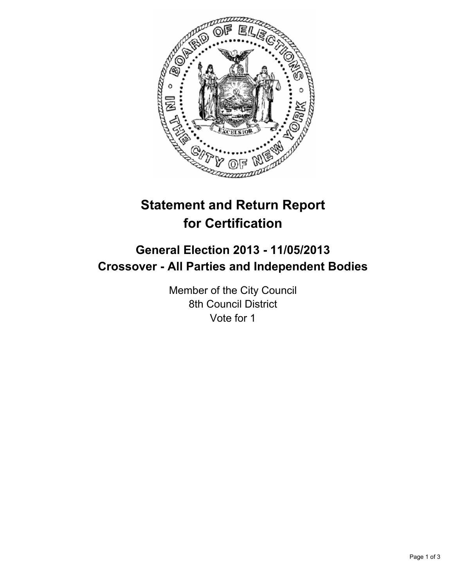

# **Statement and Return Report for Certification**

## **General Election 2013 - 11/05/2013 Crossover - All Parties and Independent Bodies**

Member of the City Council 8th Council District Vote for 1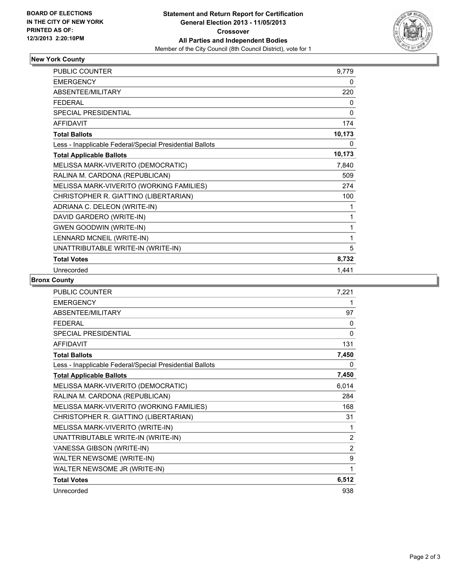

### **New York County**

| <b>PUBLIC COUNTER</b>                                    | 9,779  |
|----------------------------------------------------------|--------|
| <b>EMERGENCY</b>                                         | 0      |
| ABSENTEE/MILITARY                                        | 220    |
| <b>FEDERAL</b>                                           | 0      |
| SPECIAL PRESIDENTIAL                                     | 0      |
| <b>AFFIDAVIT</b>                                         | 174    |
| <b>Total Ballots</b>                                     | 10,173 |
| Less - Inapplicable Federal/Special Presidential Ballots | 0      |
| <b>Total Applicable Ballots</b>                          | 10,173 |
| MELISSA MARK-VIVERITO (DEMOCRATIC)                       | 7,840  |
| RALINA M. CARDONA (REPUBLICAN)                           | 509    |
| MELISSA MARK-VIVERITO (WORKING FAMILIES)                 | 274    |
| CHRISTOPHER R. GIATTINO (LIBERTARIAN)                    | 100    |
| ADRIANA C. DELEON (WRITE-IN)                             | 1      |
| DAVID GARDERO (WRITE-IN)                                 | 1      |
| <b>GWEN GOODWIN (WRITE-IN)</b>                           | 1      |
| LENNARD MCNEIL (WRITE-IN)                                | 1      |
| UNATTRIBUTABLE WRITE-IN (WRITE-IN)                       | 5      |
| <b>Total Votes</b>                                       | 8,732  |
| Unrecorded                                               | 1,441  |

#### **Bronx County**

| PUBLIC COUNTER                                           | 7,221 |
|----------------------------------------------------------|-------|
| <b>EMERGENCY</b>                                         | 1     |
| <b>ABSENTEE/MILITARY</b>                                 | 97    |
| <b>FFDFRAL</b>                                           | 0     |
| SPECIAL PRESIDENTIAL                                     | 0     |
| <b>AFFIDAVIT</b>                                         | 131   |
| <b>Total Ballots</b>                                     | 7,450 |
| Less - Inapplicable Federal/Special Presidential Ballots | 0     |
| <b>Total Applicable Ballots</b>                          | 7,450 |
| MELISSA MARK-VIVERITO (DEMOCRATIC)                       | 6,014 |
| RALINA M. CARDONA (REPUBLICAN)                           | 284   |
| MELISSA MARK-VIVERITO (WORKING FAMILIES)                 | 168   |
| CHRISTOPHER R. GIATTINO (LIBERTARIAN)                    | 31    |
| MELISSA MARK-VIVERITO (WRITE-IN)                         | 1     |
| UNATTRIBUTABLE WRITE-IN (WRITE-IN)                       | 2     |
| VANESSA GIBSON (WRITE-IN)                                | 2     |
| WALTER NEWSOME (WRITE-IN)                                | 9     |
| WALTER NEWSOME JR (WRITE-IN)                             | 1     |
| <b>Total Votes</b>                                       | 6,512 |
| Unrecorded                                               | 938   |